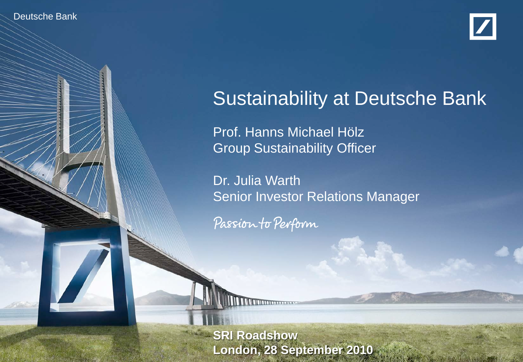Deutsche Banker Investor Relations 9/10



# Sustainability at Deutsche Bank

Prof. Hanns Michael Hölz Group Sustainability Officer

Dr. Julia Warth Senior Investor Relations Manager

Passion to Perform

**SRI Roadshow** at Deutsche Bank at Deutsche Bank Prof. Hanns Michael Hölz, Dr. Julia Warth **London, 28 September 2010**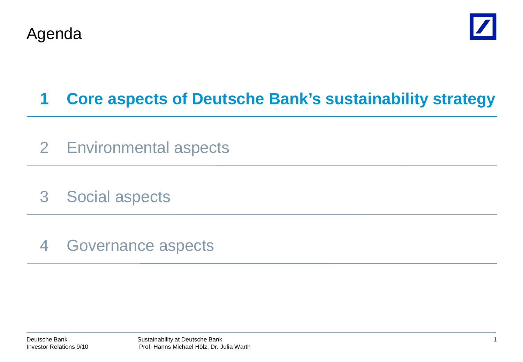



# **1 Core aspects of Deutsche Bank's sustainability strategy**

- 2 Environmental aspects
- 3 Social aspects
- 4 Governance aspects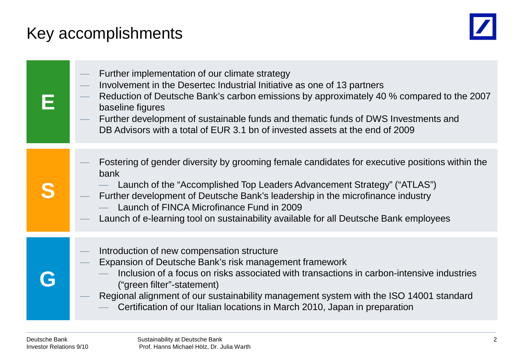# Key accomplishments



| Further implementation of our climate strategy<br>Involvement in the Desertec Industrial Initiative as one of 13 partners<br>Reduction of Deutsche Bank's carbon emissions by approximately 40 % compared to the 2007<br>baseline figures<br>Further development of sustainable funds and thematic funds of DWS Investments and<br>DB Advisors with a total of EUR 3.1 bn of invested assets at the end of 2009 |
|-----------------------------------------------------------------------------------------------------------------------------------------------------------------------------------------------------------------------------------------------------------------------------------------------------------------------------------------------------------------------------------------------------------------|
| Fostering of gender diversity by grooming female candidates for executive positions within the<br>bank<br>Launch of the "Accomplished Top Leaders Advancement Strategy" ("ATLAS")<br>Further development of Deutsche Bank's leadership in the microfinance industry<br>Launch of FINCA Microfinance Fund in 2009<br>Launch of e-learning tool on sustainability available for all Deutsche Bank employees       |
| Introduction of new compensation structure<br>Expansion of Deutsche Bank's risk management framework<br>Inclusion of a focus on risks associated with transactions in carbon-intensive industries<br>("green filter"-statement)<br>Regional alignment of our sustainability management system with the ISO 14001 standard<br>Certification of our Italian locations in March 2010, Japan in preparation         |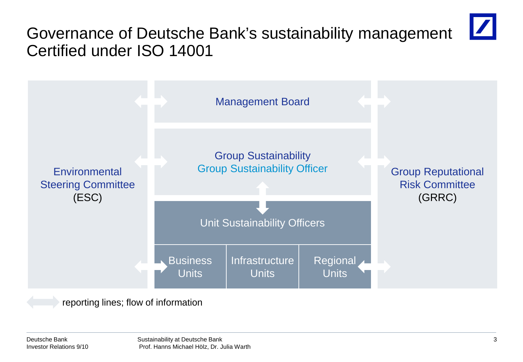## Governance of Deutsche Bank's sustainability management Certified under ISO 14001



reporting lines; flow of information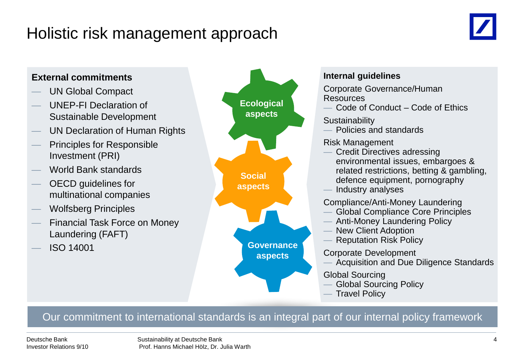### Holistic risk management approach





### Our commitment to international standards is an integral part of our internal policy framework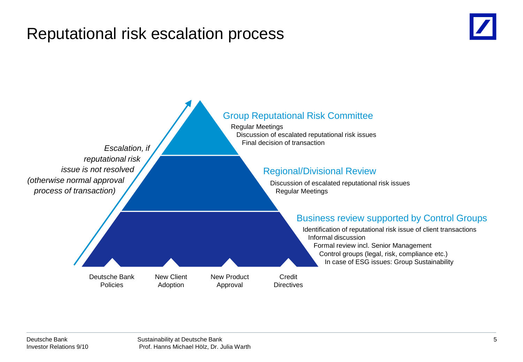### Reputational risk escalation process



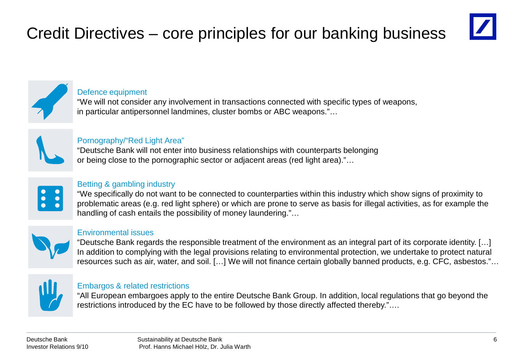# Credit Directives – core principles for our banking business





### Defence equipment

"We will not consider any involvement in transactions connected with specific types of weapons, in particular antipersonnel landmines, cluster bombs or ABC weapons."…



### Pornography/"Red Light Area"

"Deutsche Bank will not enter into business relationships with counterparts belonging or being close to the pornographic sector or adjacent areas (red light area)."…



### Betting & gambling industry

"We specifically do not want to be connected to counterparties within this industry which show signs of proximity to problematic areas (e.g. red light sphere) or which are prone to serve as basis for illegal activities, as for example the handling of cash entails the possibility of money laundering."...



### Environmental issues

"Deutsche Bank regards the responsible treatment of the environment as an integral part of its corporate identity. […] In addition to complying with the legal provisions relating to environmental protection, we undertake to protect natural resources such as air, water, and soil. […] We will not finance certain globally banned products, e.g. CFC, asbestos."…



### Embargos & related restrictions

"All European embargoes apply to the entire Deutsche Bank Group. In addition, local regulations that go beyond the restrictions introduced by the EC have to be followed by those directly affected thereby."....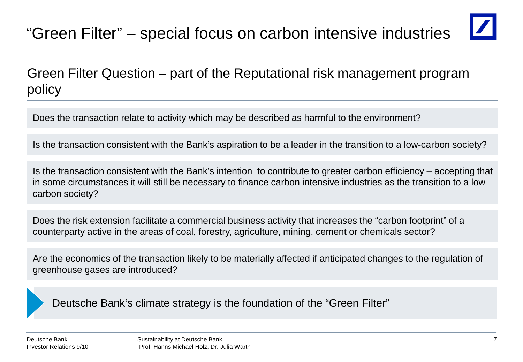# "Green Filter" – special focus on carbon intensive industries



### Green Filter Question – part of the Reputational risk management program policy

Does the transaction relate to activity which may be described as harmful to the environment?

Is the transaction consistent with the Bank's aspiration to be a leader in the transition to a low-carbon society?

Is the transaction consistent with the Bank's intention to contribute to greater carbon efficiency – accepting that in some circumstances it will still be necessary to finance carbon intensive industries as the transition to a low carbon society?

Does the risk extension facilitate a commercial business activity that increases the "carbon footprint" of a counterparty active in the areas of coal, forestry, agriculture, mining, cement or chemicals sector?

Are the economics of the transaction likely to be materially affected if anticipated changes to the regulation of greenhouse gases are introduced?

Deutsche Bank's climate strategy is the foundation of the "Green Filter"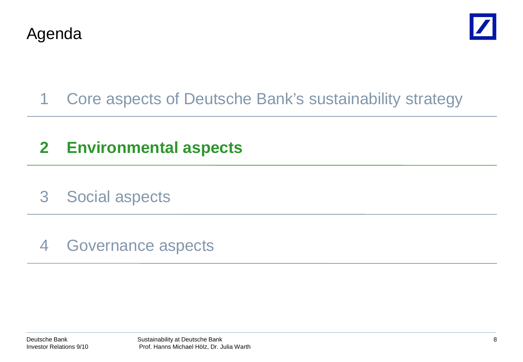



## 1 Core aspects of Deutsche Bank's sustainability strategy

## **2 Environmental aspects**

3 Social aspects

### 4 Governance aspects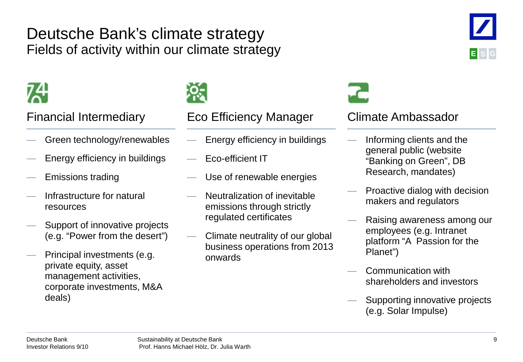### Deutsche Bank's climate strategy Fields of activity within our climate strategy



- Green technology/renewables
- Energy efficiency in buildings
- Emissions trading
- Infrastructure for natural resources
- Support of innovative projects (e.g. "Power from the desert")
- Principal investments (e.g. private equity, asset management activities, corporate investments, M&A deals)



### Financial Intermediary Eco Efficiency Manager Climate Ambassador

- Energy efficiency in buildings
- Eco-efficient IT
- Use of renewable energies
- Neutralization of inevitable emissions through strictly regulated certificates
- Climate neutrality of our global business operations from 2013 onwards



- Informing clients and the general public (website "Banking on Green", DB Research, mandates)
- Proactive dialog with decision makers and regulators
- Raising awareness among our employees (e.g. Intranet platform "A Passion for the Planet")
- Communication with shareholders and investors
- Supporting innovative projects (e.g. Solar Impulse)

**E S G**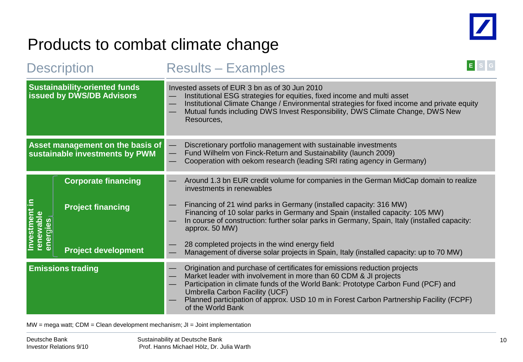

### Products to combat climate change

| <b>Description</b>                                                       |                            | <b>Results - Examples</b>                                                                                                                                                                                                                                                                                                                                                           |
|--------------------------------------------------------------------------|----------------------------|-------------------------------------------------------------------------------------------------------------------------------------------------------------------------------------------------------------------------------------------------------------------------------------------------------------------------------------------------------------------------------------|
| <b>Sustainability-oriented funds</b><br><b>issued by DWS/DB Advisors</b> |                            | Invested assets of EUR 3 bn as of 30 Jun 2010<br>Institutional ESG strategies for equities, fixed income and multi asset<br>Institutional Climate Change / Environmental strategies for fixed income and private equity<br>Mutual funds including DWS Invest Responsibility, DWS Climate Change, DWS New<br>Resources,                                                              |
| Asset management on the basis of<br>sustainable investments by PWM       |                            | Discretionary portfolio management with sustainable investments<br>Fund Wilhelm von Finck-Return and Sustainability (launch 2009)<br>Cooperation with oekom research (leading SRI rating agency in Germany)                                                                                                                                                                         |
|                                                                          | <b>Corporate financing</b> | Around 1.3 bn EUR credit volume for companies in the German MidCap domain to realize<br>investments in renewables                                                                                                                                                                                                                                                                   |
| int in<br>renewable<br>energies<br><b>Investme</b>                       | <b>Project financing</b>   | Financing of 21 wind parks in Germany (installed capacity: 316 MW)<br>Financing of 10 solar parks in Germany and Spain (installed capacity: 105 MW)<br>In course of construction: further solar parks in Germany, Spain, Italy (installed capacity:<br>approx. 50 MW)                                                                                                               |
|                                                                          | <b>Project development</b> | 28 completed projects in the wind energy field<br>Management of diverse solar projects in Spain, Italy (installed capacity: up to 70 MW)                                                                                                                                                                                                                                            |
| <b>Emissions trading</b>                                                 |                            | Origination and purchase of certificates for emissions reduction projects<br>Market leader with involvement in more than 60 CDM & JI projects<br>Participation in climate funds of the World Bank: Prototype Carbon Fund (PCF) and<br>Umbrella Carbon Facility (UCF)<br>Planned participation of approx. USD 10 m in Forest Carbon Partnership Facility (FCPF)<br>of the World Bank |

 $MW = mega$  watt;  $CDM = Clean$  development mechanism;  $JI = Joint implementation$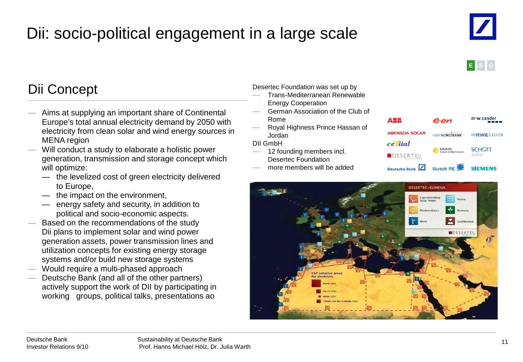# Dii: socio-political engagement in a large scale





### Dii Concept

- Aims at supplying an important share of Continental Europe's total annual electricity demand by 2050 with electricity from clean solar and wind energy sources in MENA region
- Will conduct a study to elaborate a holistic power generation, transmission and storage concept which will optimize:
	- the levelized cost of green electricity delivered to Europe,
	- the impact on the environment,
	- energy safety and security, in addition to political and socio-economic aspects.
- Based on the recommendations of the study Dii plans to implement solar and wind power generation assets, power transmission lines and utilization concepts for existing energy storage systems and/or build new storage systems
- Would require a multi-phased approach
- Deutsche Bank (and all of the other partners) actively support the work of DII by participating in working groups, political talks, presentations ao

### Desertec Foundation was set up by

- Trans-Mediterranean Renewable Energy Cooperation
- German Association of the Club of Rome
- Royal Highness Prince Hassan of Jordan

DII GmbH

- 12 founding members incl. Desertec Foundation
- more members will be added



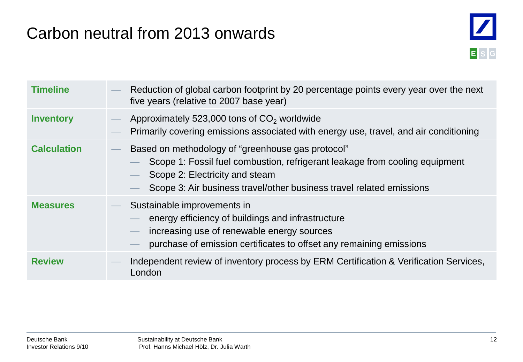## Carbon neutral from 2013 onwards



| <b>Timeline</b>    | Reduction of global carbon footprint by 20 percentage points every year over the next<br>five years (relative to 2007 base year)                                                                                                           |
|--------------------|--------------------------------------------------------------------------------------------------------------------------------------------------------------------------------------------------------------------------------------------|
| <b>Inventory</b>   | Approximately 523,000 tons of $CO2$ worldwide<br>Primarily covering emissions associated with energy use, travel, and air conditioning                                                                                                     |
| <b>Calculation</b> | Based on methodology of "greenhouse gas protocol"<br>Scope 1: Fossil fuel combustion, refrigerant leakage from cooling equipment<br>Scope 2: Electricity and steam<br>Scope 3: Air business travel/other business travel related emissions |
| <b>Measures</b>    | Sustainable improvements in<br>energy efficiency of buildings and infrastructure<br>increasing use of renewable energy sources<br>$\longrightarrow$<br>purchase of emission certificates to offset any remaining emissions                 |
| <b>Review</b>      | Independent review of inventory process by ERM Certification & Verification Services,<br>London                                                                                                                                            |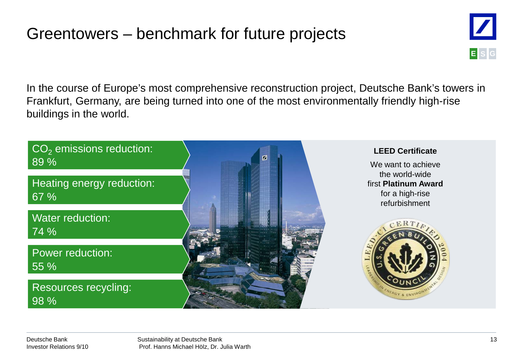## Greentowers – benchmark for future projects



In the course of Europe's most comprehensive reconstruction project, Deutsche Bank's towers in Frankfurt, Germany, are being turned into one of the most environmentally friendly high-rise buildings in the world.

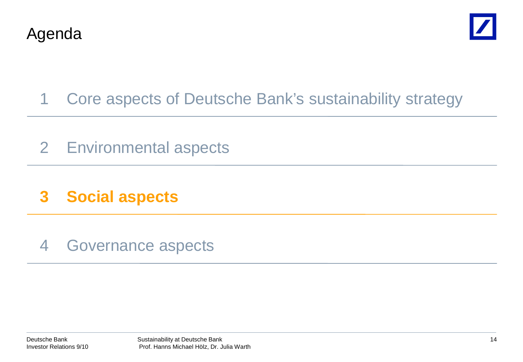



- 1 Core aspects of Deutsche Bank's sustainability strategy
- 2 Environmental aspects
- **3 Social aspects**
- 4 Governance aspects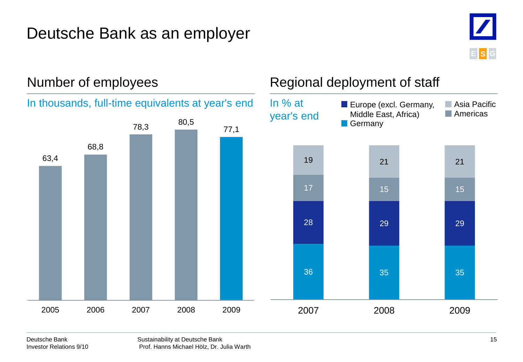### Deutsche Bank as an employer





### Number of employees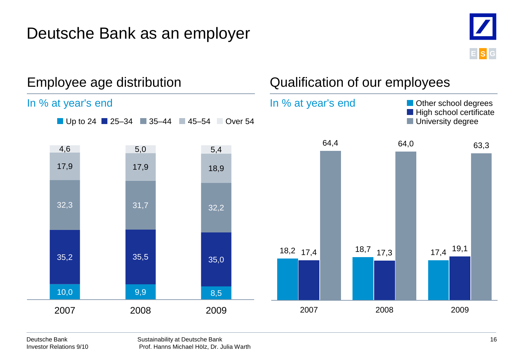### Deutsche Bank as an employer



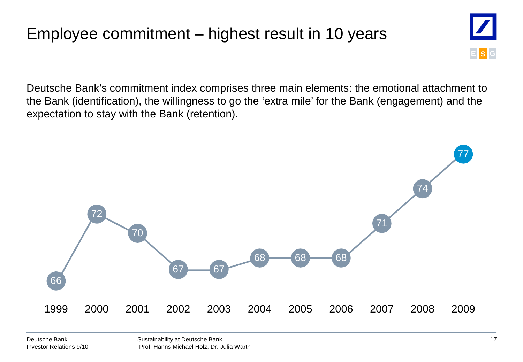# Employee commitment – highest result in 10 years



Deutsche Bank's commitment index comprises three main elements: the emotional attachment to the Bank (identification), the willingness to go the 'extra mile' for the Bank (engagement) and the expectation to stay with the Bank (retention).

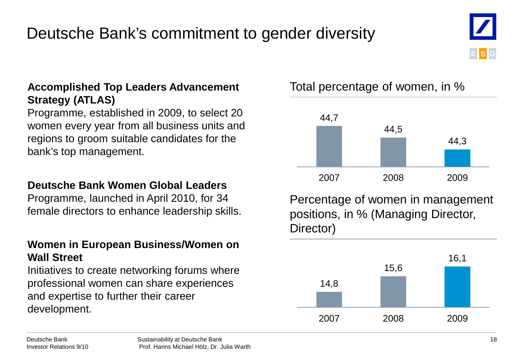# Deutsche Bank's commitment to gender diversity

### **Accomplished Top Leaders Advancement Strategy (ATLAS)**

Programme, established in 2009, to select 20 women every year from all business units and regions to groom suitable candidates for the bank's top management.

### **Deutsche Bank Women Global Leaders**

Programme, launched in April 2010, for 34 female directors to enhance leadership skills.

### **Women in European Business/Women on Wall Street**

Initiatives to create networking forums where professional women can share experiences and expertise to further their career development.

Total percentage of women, in %



Percentage of women in management positions, in % (Managing Director, Director)



**E S G**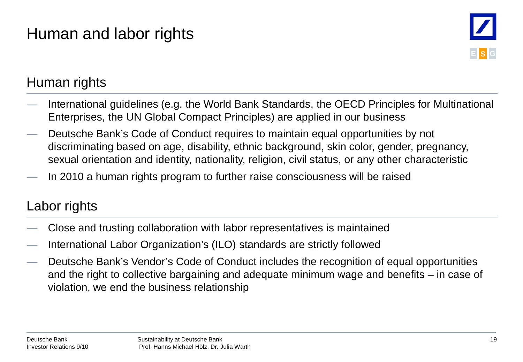# Human and labor rights



### Human rights

- International guidelines (e.g. the World Bank Standards, the OECD Principles for Multinational Enterprises, the UN Global Compact Principles) are applied in our business
- Deutsche Bank's Code of Conduct requires to maintain equal opportunities by not discriminating based on age, disability, ethnic background, skin color, gender, pregnancy, sexual orientation and identity, nationality, religion, civil status, or any other characteristic
- In 2010 a human rights program to further raise consciousness will be raised

### Labor rights

- Close and trusting collaboration with labor representatives is maintained
- International Labor Organization's (ILO) standards are strictly followed
- Deutsche Bank's Vendor's Code of Conduct includes the recognition of equal opportunities and the right to collective bargaining and adequate minimum wage and benefits – in case of violation, we end the business relationship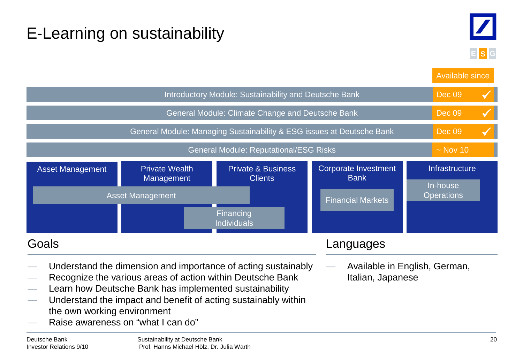# E-Learning on sustainability



Deutsche Bank Private Wealth Management Private & Business Clients Corporate Investment Bank Asset Management Private Wealth Private & Business Corporate Investment Infrastructure Asset Management In-house **Operations** Introductory Module: Sustainability and Deutsche Bank General Module: Climate Change and Deutsche Bank General Module: Managing Sustainability & ESG issues at Deutsche Bank General Module: Reputational/ESG Risks Dec 09 Available since Dec 09 Dec 09  $\sim$  Nov 10 Financial Markets Financing Individuals — Understand the dimension and importance of acting sustainably — Recognize the various areas of action within Deutsche Bank Learn how Deutsche Bank has implemented sustainability Understand the impact and benefit of acting sustainably within the own working environment Raise awareness on "what I can do" Goals — Available in English, German, Italian, Japanese Languages  $\checkmark$  $\checkmark$  $\checkmark$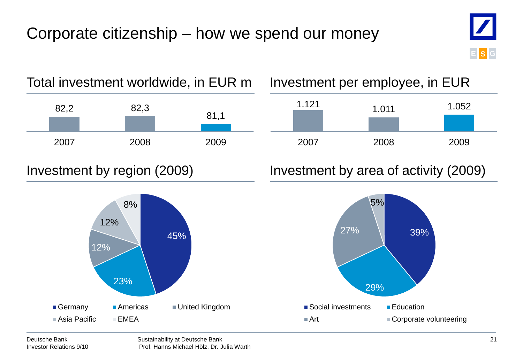# Corporate citizenship – how we spend our money









### Investment by region (2009) Investment by area of activity (2009)

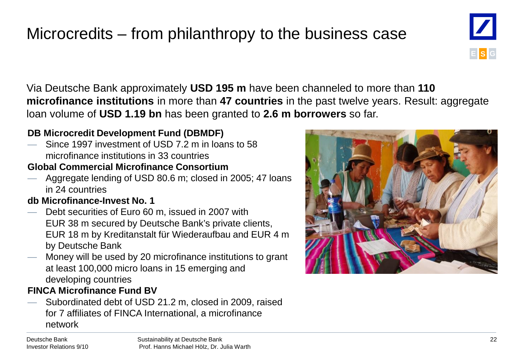# Microcredits – from philanthropy to the business case



Via Deutsche Bank approximately **USD 195 m** have been channeled to more than **110 microfinance institutions** in more than **47 countries** in the past twelve years. Result: aggregate loan volume of **USD 1.19 bn** has been granted to **2.6 m borrowers** so far.

### **DB Microcredit Development Fund (DBMDF)**

 $-$  Since 1997 investment of USD 7.2 m in loans to 58 microfinance institutions in 33 countries

### **Global Commercial Microfinance Consortium**

Aggregate lending of USD 80.6 m; closed in 2005; 47 loans in 24 countries

### **db Microfinance-Invest No. 1**

- Debt securities of Euro 60 m, issued in 2007 with EUR 38 m secured by Deutsche Bank's private clients, EUR 18 m by Kreditanstalt für Wiederaufbau and EUR 4 m by Deutsche Bank
- Money will be used by 20 microfinance institutions to grant at least 100,000 micro loans in 15 emerging and developing countries

### **FINCA Microfinance Fund BV**

— Subordinated debt of USD 21.2 m, closed in 2009, raised for 7 affiliates of FINCA International, a microfinance network



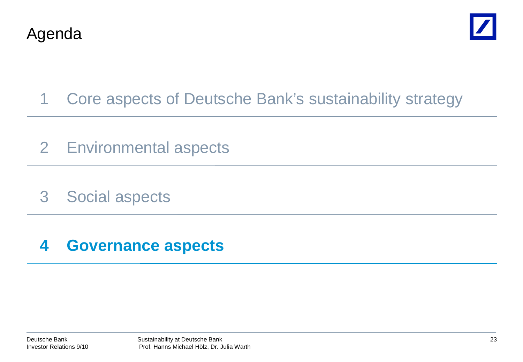



- 1 Core aspects of Deutsche Bank's sustainability strategy
- 2 Environmental aspects
- 3 Social aspects

### **4 Governance aspects**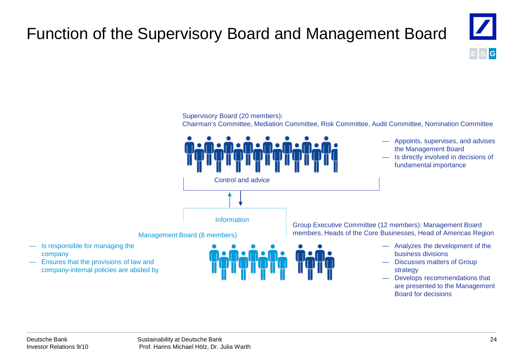# Function of the Supervisory Board and Management Board



Supervisory Board (20 members):

Chairman's Committee, Mediation Committee, Risk Committee, Audit Committee, Nomination Committee



— Develops recommendations that are presented to the Management Board for decisions

company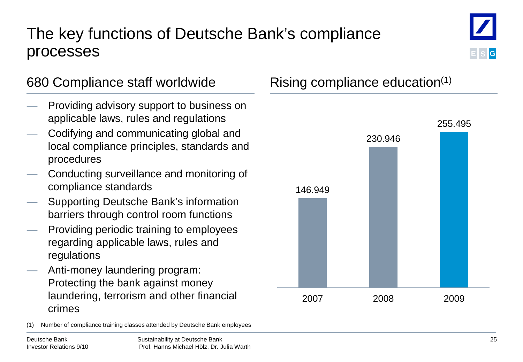## The key functions of Deutsche Bank's compliance processes



- Providing advisory support to business on applicable laws, rules and regulations
- Codifying and communicating global and local compliance principles, standards and procedures
- Conducting surveillance and monitoring of compliance standards
- Supporting Deutsche Bank's information barriers through control room functions
- Providing periodic training to employees regarding applicable laws, rules and regulations
- Anti-money laundering program: Protecting the bank against money laundering, terrorism and other financial crimes

Number of compliance training classes attended by Deutsche Bank employees



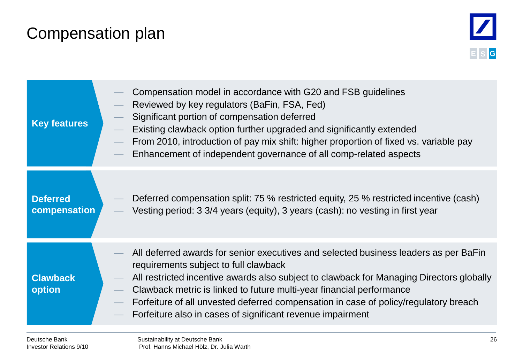## Compensation plan



| <b>Key features</b>             | Compensation model in accordance with G20 and FSB guidelines<br>Reviewed by key regulators (BaFin, FSA, Fed)<br>Significant portion of compensation deferred<br>Existing clawback option further upgraded and significantly extended<br>From 2010, introduction of pay mix shift: higher proportion of fixed vs. variable pay<br>Enhancement of independent governance of all comp-related aspects                                                      |
|---------------------------------|---------------------------------------------------------------------------------------------------------------------------------------------------------------------------------------------------------------------------------------------------------------------------------------------------------------------------------------------------------------------------------------------------------------------------------------------------------|
| <b>Deferred</b><br>compensation | Deferred compensation split: 75 % restricted equity, 25 % restricted incentive (cash)<br>Vesting period: 3 3/4 years (equity), 3 years (cash): no vesting in first year                                                                                                                                                                                                                                                                                 |
| <b>Clawback</b><br>option       | All deferred awards for senior executives and selected business leaders as per BaFin<br>requirements subject to full clawback<br>All restricted incentive awards also subject to clawback for Managing Directors globally<br>Clawback metric is linked to future multi-year financial performance<br>Forfeiture of all unvested deferred compensation in case of policy/regulatory breach<br>Forfeiture also in cases of significant revenue impairment |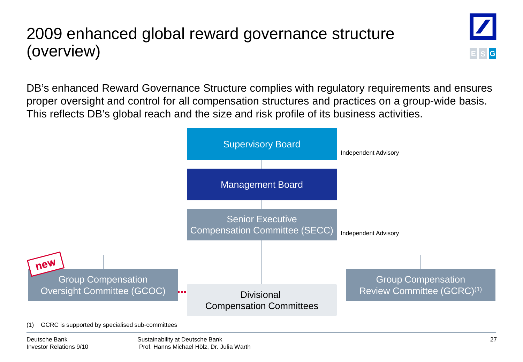# 2009 enhanced global reward governance structure (overview)



DB's enhanced Reward Governance Structure complies with regulatory requirements and ensures proper oversight and control for all compensation structures and practices on a group-wide basis. This reflects DB's global reach and the size and risk profile of its business activities.

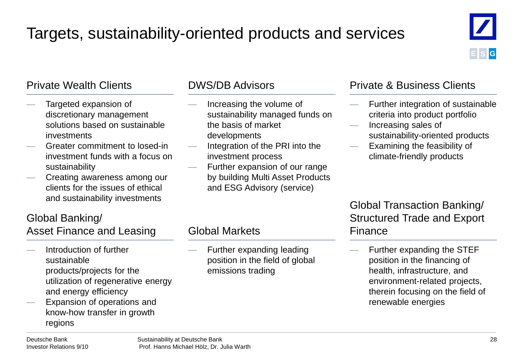# Targets, sustainability-oriented products and services



### Private Wealth Clients

- Targeted expansion of discretionary management solutions based on sustainable investments
- Greater commitment to losed-in investment funds with a focus on sustainability
- Creating awareness among our clients for the issues of ethical and sustainability investments

### DWS/DB Advisors

- Increasing the volume of sustainability managed funds on the basis of market developments
- Integration of the PRI into the investment process
- Further expansion of our range by building Multi Asset Products and ESG Advisory (service)

### Private & Business Clients

- Further integration of sustainable criteria into product portfolio
- Increasing sales of sustainability-oriented products
- Examining the feasibility of climate-friendly products

### Global Transaction Banking/ Structured Trade and Export Finance

— Further expanding the STEF position in the financing of health, infrastructure, and environment-related projects, therein focusing on the field of renewable energies

# Global Banking/

Asset Finance and Leasing

- Introduction of further sustainable products/projects for the utilization of regenerative energy and energy efficiency
- Expansion of operations and know-how transfer in growth regions

### Global Markets

Further expanding leading position in the field of global emissions trading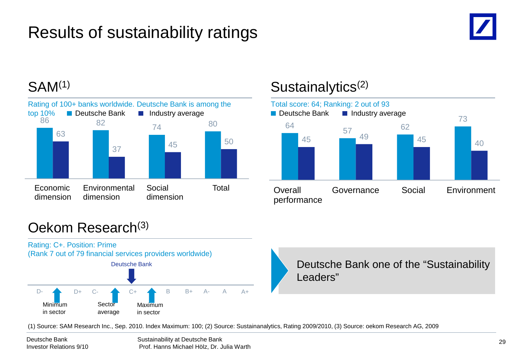# Results of sustainability ratings





### SAM<sup>(1)</sup> Sustainalytics<sup>(2)</sup>



### Oekom Research(3)



(1) Source: SAM Research Inc., Sep. 2010. Index Maximum: 100; (2) Source: Sustainanalytics, Rating 2009/2010, (3) Source: oekom Research AG, 2009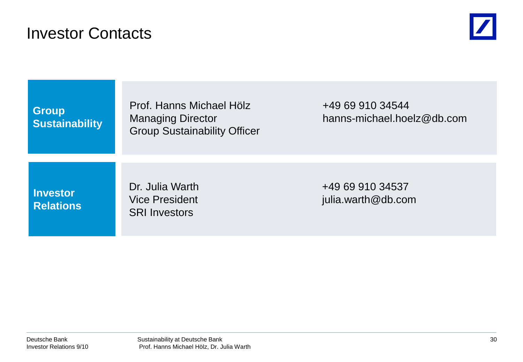### Investor Contacts



**Group Sustainability** Prof. Hanns Michael Hölz +49 69 910 34544 Group Sustainability Officer

Managing Director hanns-michael.hoelz@db.com

**Investor Relations** SRI Investors

Dr. Julia Warth +49 69 910 34537 Vice President in the settlement of the settlement of the settlement of the pullia.warth@db.com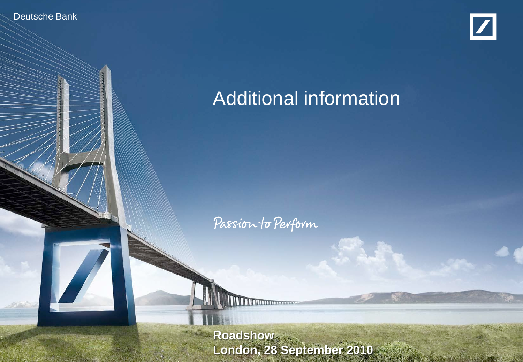Deutsche Banker Investor Relations 9/10



# Additional information

Passion to Perform

**Sustainability at Deutsche Bank** Prof. Hanns Michael Hölz, Dr. Julia Warth **London, 28 September 2010**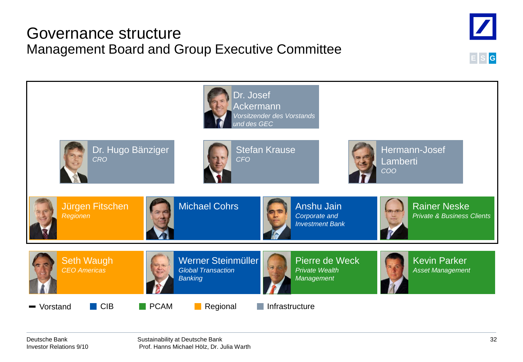### Governance structure Management Board and Group Executive Committee



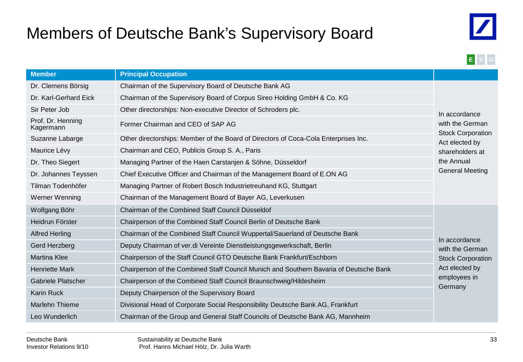## Members of Deutsche Bank's Supervisory Board





| <b>Member</b>                  | <b>Principal Occupation</b>                                                                       |                                            |
|--------------------------------|---------------------------------------------------------------------------------------------------|--------------------------------------------|
| Dr. Clemens Börsig             | Chairman of the Supervisory Board of Deutsche Bank AG                                             |                                            |
| Dr. Karl-Gerhard Eick          | Chairman of the Supervisory Board of Corpus Sireo Holding GmbH & Co. KG                           |                                            |
| Sir Peter Job                  | Other directorships: Non-executive Director of Schroders plc.                                     | In accordance                              |
| Prof. Dr. Henning<br>Kagermann | Former Chairman and CEO of SAP AG                                                                 |                                            |
| Suzanne Labarge                | Other directorships: Member of the Board of Directors of Coca-Cola Enterprises Inc.               | <b>Stock Corporation</b><br>Act elected by |
| Maurice Lévy                   | Chairman and CEO, Publicis Group S. A., Paris                                                     |                                            |
| Dr. Theo Siegert               | the Annual<br>Managing Partner of the Haen Carstanjen & Söhne, Düsseldorf                         |                                            |
| Dr. Johannes Teyssen           | <b>General Meeting</b><br>Chief Executive Officer and Chairman of the Management Board of E.ON AG |                                            |
| Tilman Todenhöfer              | Managing Partner of Robert Bosch Industrietreuhand KG, Stuttgart                                  |                                            |
| Werner Wenning                 | Chairman of the Management Board of Bayer AG, Leverkusen                                          |                                            |
| Wolfgang Böhr                  | Chairman of the Combined Staff Council Düsseldof                                                  |                                            |
| Heidrun Förster                | Chairperson of the Combined Staff Council Berlin of Deutsche Bank                                 |                                            |
| <b>Alfred Herling</b>          | Chairman of the Combined Staff Council Wuppertal/Sauerland of Deutsche Bank                       |                                            |
| Gerd Herzberg                  | Deputy Chairman of ver.di Vereinte Dienstleistungsgewerkschaft, Berlin                            | In accordance<br>with the German           |
| <b>Martina Klee</b>            | Chairperson of the Staff Council GTO Deutsche Bank Frankfurt/Eschborn                             | <b>Stock Corporation</b>                   |
| <b>Henriette Mark</b>          | Chairperson of the Combined Staff Council Munich and Southern Bavaria of Deutsche Bank            | Act elected by                             |
| Gabriele Platscher             | Chairperson of the Combined Staff Council Braunschweig/Hildesheim                                 | employees in                               |
| <b>Karin Ruck</b>              | Deputy Chairperson of the Supervisory Board                                                       | Germany                                    |
| Marlehn Thieme                 | Divisional Head of Corporate Social Responsibility Deutsche Bank AG, Frankfurt                    |                                            |
| Leo Wunderlich                 | Chairman of the Group and General Staff Councils of Deutsche Bank AG, Mannheim                    |                                            |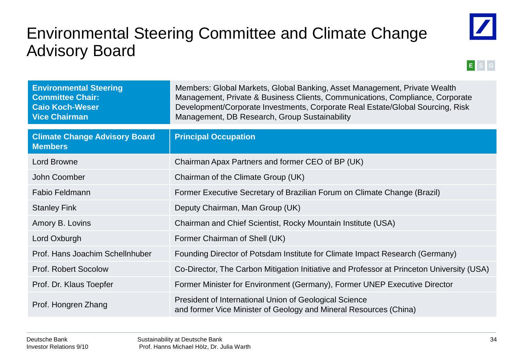### Environmental Steering Committee and Climate Change Advisory Board





| <b>Environmental Steering</b><br><b>Committee Chair:</b><br><b>Caio Koch-Weser</b><br><b>Vice Chairman</b> | Members: Global Markets, Global Banking, Asset Management, Private Wealth<br>Management, Private & Business Clients, Communications, Compliance, Corporate<br>Development/Corporate Investments, Corporate Real Estate/Global Sourcing, Risk<br>Management, DB Research, Group Sustainability |
|------------------------------------------------------------------------------------------------------------|-----------------------------------------------------------------------------------------------------------------------------------------------------------------------------------------------------------------------------------------------------------------------------------------------|
| <b>Climate Change Advisory Board</b><br><b>Members</b>                                                     | <b>Principal Occupation</b>                                                                                                                                                                                                                                                                   |
| <b>Lord Browne</b>                                                                                         | Chairman Apax Partners and former CEO of BP (UK)                                                                                                                                                                                                                                              |
| John Coomber                                                                                               | Chairman of the Climate Group (UK)                                                                                                                                                                                                                                                            |
| <b>Fabio Feldmann</b>                                                                                      | Former Executive Secretary of Brazilian Forum on Climate Change (Brazil)                                                                                                                                                                                                                      |
| <b>Stanley Fink</b>                                                                                        | Deputy Chairman, Man Group (UK)                                                                                                                                                                                                                                                               |
| Amory B. Lovins                                                                                            | Chairman and Chief Scientist, Rocky Mountain Institute (USA)                                                                                                                                                                                                                                  |
| Lord Oxburgh                                                                                               | Former Chairman of Shell (UK)                                                                                                                                                                                                                                                                 |
| Prof. Hans Joachim Schellnhuber                                                                            | Founding Director of Potsdam Institute for Climate Impact Research (Germany)                                                                                                                                                                                                                  |
| Prof. Robert Socolow                                                                                       | Co-Director, The Carbon Mitigation Initiative and Professor at Princeton University (USA)                                                                                                                                                                                                     |
| Prof. Dr. Klaus Toepfer                                                                                    | Former Minister for Environment (Germany), Former UNEP Executive Director                                                                                                                                                                                                                     |
| Prof. Hongren Zhang                                                                                        | President of International Union of Geological Science<br>and former Vice Minister of Geology and Mineral Resources (China)                                                                                                                                                                   |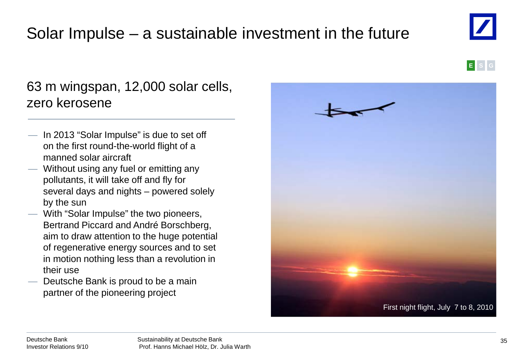### Deutsche Bank Investor Relations 9/10

### Solar Impulse – a sustainable investment in the future

### 63 m wingspan, 12,000 solar cells, zero kerosene

- In 2013 "Solar Impulse" is due to set off on the first round-the-world flight of a manned solar aircraft
- Without using any fuel or emitting any pollutants, it will take off and fly for several days and nights – powered solely by the sun
- With "Solar Impulse" the two pioneers, Bertrand Piccard and André Borschberg, aim to draw attention to the huge potential of regenerative energy sources and to set in motion nothing less than a revolution in their use
- Deutsche Bank is proud to be a main partner of the pioneering project



First night flight, July 7 to 8, 2010



**E S G**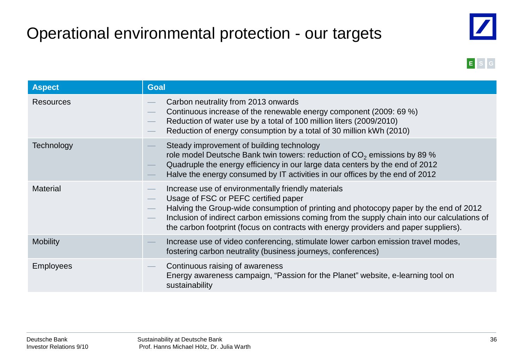# Operational environmental protection - our targets





| <b>Aspect</b>    | <b>Goal</b>                                                                                                                                                                                                                                                                                                                                                                 |  |
|------------------|-----------------------------------------------------------------------------------------------------------------------------------------------------------------------------------------------------------------------------------------------------------------------------------------------------------------------------------------------------------------------------|--|
| <b>Resources</b> | Carbon neutrality from 2013 onwards<br>Continuous increase of the renewable energy component (2009: 69 %)<br>Reduction of water use by a total of 100 million liters (2009/2010)<br>Reduction of energy consumption by a total of 30 million kWh (2010)                                                                                                                     |  |
| Technology       | Steady improvement of building technology<br>role model Deutsche Bank twin towers: reduction of $CO2$ emissions by 89 %<br>Quadruple the energy efficiency in our large data centers by the end of 2012<br>Halve the energy consumed by IT activities in our offices by the end of 2012                                                                                     |  |
| <b>Material</b>  | Increase use of environmentally friendly materials<br>Usage of FSC or PEFC certified paper<br>Halving the Group-wide consumption of printing and photocopy paper by the end of 2012<br>Inclusion of indirect carbon emissions coming from the supply chain into our calculations of<br>the carbon footprint (focus on contracts with energy providers and paper suppliers). |  |
| <b>Mobility</b>  | Increase use of video conferencing, stimulate lower carbon emission travel modes,<br>fostering carbon neutrality (business journeys, conferences)                                                                                                                                                                                                                           |  |
| <b>Employees</b> | Continuous raising of awareness<br>Energy awareness campaign, "Passion for the Planet" website, e-learning tool on<br>sustainability                                                                                                                                                                                                                                        |  |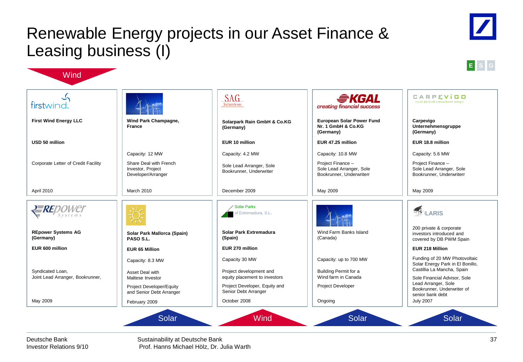### Renewable Energy projects in our Asset Finance & Leasing business (I)



Sustainability at Deutsche Bank Prof. Hanns Michael Hölz, Dr. Julia Warth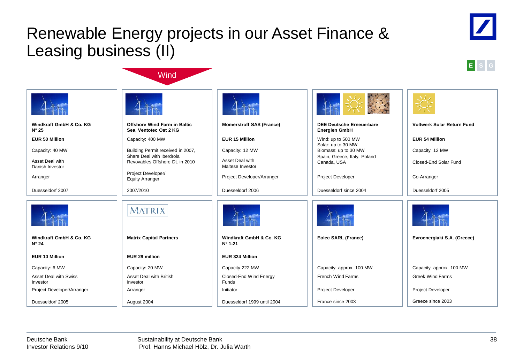### Renewable Energy projects in our Asset Finance & Leasing business (II)

**Wind** 





|                                           |                                                                |                                             | 兴盛                                                                         |                                   |
|-------------------------------------------|----------------------------------------------------------------|---------------------------------------------|----------------------------------------------------------------------------|-----------------------------------|
| Windkraft GmbH & Co. KG<br>$N^{\circ} 25$ | Offshore Wind Farm in Baltic<br>Sea, Ventotec Ost 2 KG         | <b>Momerstroff SAS (France)</b>             | <b>DEE Deutsche Erneuerbare</b><br><b>Energien GmbH</b>                    | <b>Voltwerk Solar Return Fund</b> |
| <b>EUR 50 Million</b>                     | Capacity: 400 MW                                               | <b>EUR 15 Million</b>                       | Wind: up to 500 MW                                                         | <b>EUR 54 Million</b>             |
| Capacity: 40 MW                           | Building Permit received in 2007,<br>Share Deal with Iberdrola | Capacity: 12 MW<br>Asset Deal with          | Solar: up to 30 MW<br>Biomass: up to 30 MW<br>Spain, Greece, Italy, Poland | Capacity: 12 MW                   |
| Asset Deal with<br>Danish Investor        | Revovables Offshore Dt. in 2010                                | Maltese Investor                            | Canada, USA                                                                | Closed-End Solar Fund             |
| Arranger                                  | Project Developer/<br><b>Equity Arranger</b>                   | Project Developer/Arranger                  | <b>Project Developer</b>                                                   | Co-Arranger                       |
| Duesseldorf 2007                          | 2007/2010                                                      | Duesseldorf 2006                            | Duesseldorf since 2004                                                     | Duesseldorf 2005                  |
|                                           | MATRIX                                                         |                                             |                                                                            |                                   |
| Windkraft GmbH & Co. KG<br>$N^{\circ} 24$ | <b>Matrix Capital Partners</b>                                 | Windkraft GmbH & Co. KG<br>$N^{\circ}$ 1-21 | Eolec SARL (France)                                                        | Evroenergiaki S.A. (Greece)       |
| <b>EUR 10 Million</b>                     | EUR 29 million                                                 | EUR 324 Million                             |                                                                            |                                   |
| Capacity: 6 MW                            | Capacity: 20 MW                                                | Capacity 222 MW                             | Capacity: approx. 100 MW                                                   | Capacity: approx. 100 MW          |
| <b>Asset Deal with Swiss</b><br>Investor  | Asset Deal with British<br>Investor                            | Closed-End Wind Energy<br>Funds             | <b>French Wind Farms</b>                                                   | <b>Greek Wind Farms</b>           |
| Project Developer/Arranger                | Arranger                                                       | Initiator                                   | <b>Project Developer</b>                                                   | Project Developer                 |
| Duesseldorf 2005                          | August 2004                                                    | Duesseldorf 1999 until 2004                 | France since 2003                                                          | Greece since 2003                 |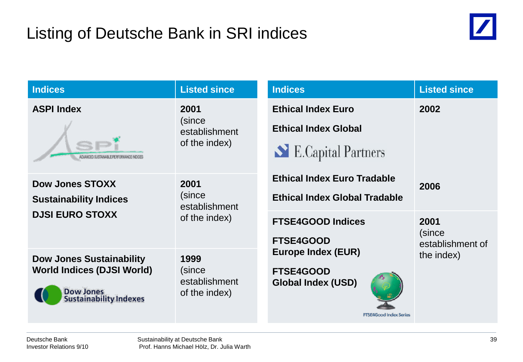

| <b>Indices</b>                                                                                                            | <b>Listed since</b>                              | <b>Indices</b>                                                                                              | <b>Listed since</b>                |
|---------------------------------------------------------------------------------------------------------------------------|--------------------------------------------------|-------------------------------------------------------------------------------------------------------------|------------------------------------|
| <b>ASPI Index</b><br>ADVANCED SUSTAINABLE PERFORMANCE INDICES                                                             | 2001<br>(since<br>establishment<br>of the index) | <b>Ethical Index Euro</b><br><b>Ethical Index Global</b><br>E.Capital Partners                              | 2002                               |
| <b>Dow Jones STOXX</b><br><b>Sustainability Indices</b>                                                                   | 2001<br>(since<br>establishment                  | <b>Ethical Index Euro Tradable</b><br><b>Ethical Index Global Tradable</b>                                  | 2006                               |
| <b>DJSI EURO STOXX</b><br>of the index)                                                                                   |                                                  | <b>FTSE4GOOD Indices</b><br>FTSE4GOOD                                                                       | 2001<br>(since<br>establishment of |
| <b>Dow Jones Sustainability</b><br><b>World Indices (DJSI World)</b><br><b>Dow Jones</b><br><b>Sustainability Indexes</b> | 1999<br>(since<br>establishment<br>of the index) | <b>Europe Index (EUR)</b><br><b>FTSE4GOOD</b><br><b>Global Index (USD)</b><br><b>FTSE4Good Index Series</b> | the index)                         |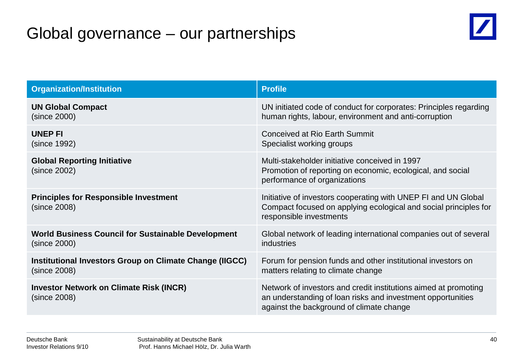### Global governance – our partnerships



| <b>Organization/Institution</b>                                | <b>Profile</b>                                                                                                                                                             |
|----------------------------------------------------------------|----------------------------------------------------------------------------------------------------------------------------------------------------------------------------|
| <b>UN Global Compact</b>                                       | UN initiated code of conduct for corporates: Principles regarding                                                                                                          |
| (since 2000)                                                   | human rights, labour, environment and anti-corruption                                                                                                                      |
| <b>UNEP FI</b>                                                 | <b>Conceived at Rio Earth Summit</b>                                                                                                                                       |
| (since 1992)                                                   | Specialist working groups                                                                                                                                                  |
| <b>Global Reporting Initiative</b><br>(since 2002)             | Multi-stakeholder initiative conceived in 1997<br>Promotion of reporting on economic, ecological, and social<br>performance of organizations                               |
| <b>Principles for Responsible Investment</b><br>(since 2008)   | Initiative of investors cooperating with UNEP FI and UN Global<br>Compact focused on applying ecological and social principles for<br>responsible investments              |
| <b>World Business Council for Sustainable Development</b>      | Global network of leading international companies out of several                                                                                                           |
| (since 2000)                                                   | industries                                                                                                                                                                 |
| Institutional Investors Group on Climate Change (IIGCC)        | Forum for pension funds and other institutional investors on                                                                                                               |
| (since 2008)                                                   | matters relating to climate change                                                                                                                                         |
| <b>Investor Network on Climate Risk (INCR)</b><br>(since 2008) | Network of investors and credit institutions aimed at promoting<br>an understanding of loan risks and investment opportunities<br>against the background of climate change |